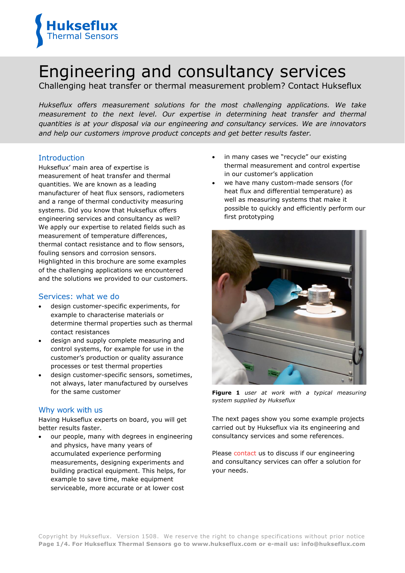

# Engineering and consultancy services

Challenging heat transfer or thermal measurement problem? Contact Hukseflux

*Hukseflux offers measurement solutions for the most challenging applications. We take measurement to the next level. Our expertise in determining heat transfer and thermal quantities is at your disposal via our engineering and consultancy services. We are innovators and help our customers improve product concepts and get better results faster.*

# Introduction

Hukseflux' main area of expertise is measurement of heat transfer and thermal quantities. We are known as a leading manufacturer of heat flux sensors, radiometers and a range of thermal conductivity measuring systems. Did you know that Hukseflux offers engineering services and consultancy as well? We apply our expertise to related fields such as measurement of temperature differences, thermal contact resistance and to flow sensors, fouling sensors and corrosion sensors. Highlighted in this brochure are some examples of the challenging applications we encountered and the solutions we provided to our customers.

#### Services: what we do

- design customer-specific experiments, for example to characterise materials or determine thermal properties such as thermal contact resistances
- design and supply complete measuring and control systems, for example for use in the customer's production or quality assurance processes or test thermal properties
- design customer-specific sensors, sometimes, not always, later manufactured by ourselves for the same customer

# Why work with us

Having Hukseflux experts on board, you will get better results faster.

 our people, many with degrees in engineering and physics, have many years of accumulated experience performing measurements, designing experiments and building practical equipment. This helps, for example to save time, make equipment serviceable, more accurate or at lower cost

- in many cases we "recycle" our existing thermal measurement and control expertise in our customer's application
- we have many custom-made sensors (for heat flux and differential temperature) as well as measuring systems that make it possible to quickly and efficiently perform our first prototyping



**Figure 1** *user at work with a typical measuring system supplied by Hukseflux* 

The next pages show you some example projects carried out by Hukseflux via its engineering and consultancy services and some references.

Please [contact](http://www.hukseflux.com/contact) us to discuss if our engineering and consultancy services can offer a solution for your needs.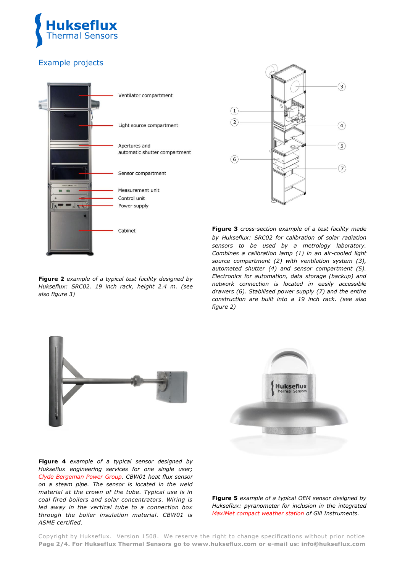

# Example projects



**Figure 2** *example of a typical test facility designed by Hukseflux: SRC02. 19 inch rack, height 2.4 m. (see also figure 3)* 



**Figure 3** *cross-section example of a test facility made by Hukseflux: SRC02 for calibration of solar radiation sensors to be used by a metrology laboratory. Combines a calibration lamp (1) in an air-cooled light source compartment (2) with ventilation system (3), automated shutter (4) and sensor compartment (5). Electronics for automation, data storage (backup) and network connection is located in easily accessible drawers (6). Stabilised power supply (7) and the entire construction are built into a 19 inch rack. (see also figure 2)*





**Figure 4** *example of a typical sensor designed by Hukseflux engineering services for one single user; [Clyde Bergeman Power Group.](http://www.cbpg.com/) CBW01 heat flux sensor on a steam pipe. The sensor is located in the weld material at the crown of the tube. Typical use is in coal fired boilers and solar concentrators. Wiring is led away in the vertical tube to a connection box through the boiler insulation material. CBW01 is ASME certified.* 

**Figure 5** *example of a typical OEM sensor designed by Hukseflux: pyranometer for inclusion in the integrated [MaxiMet compact weather station](http://gillinstruments.com/products/anemometer/maximet-compact-weather-stations.html) of Gill Instruments.* 

Copyright by Hukseflux. Version 1508. We reserve the right to change specifications without prior notice **Page 2/4. For Hukseflux Thermal Sensors go to www.hukseflux.com or e-mail us: info@hukseflux.com**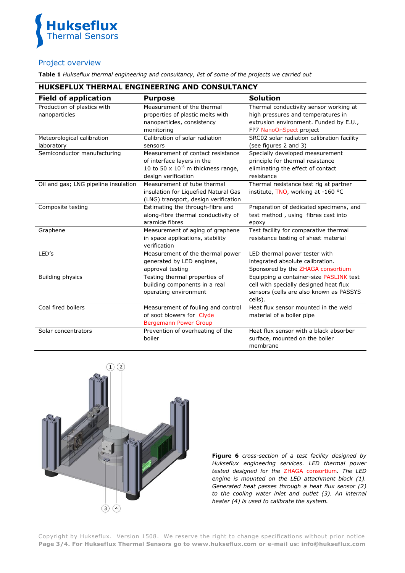

### Project overview

**Table 1** *Hukseflux thermal engineering and consultancy, list of some of the projects we carried out*

# **HUKSEFLUX THERMAL ENGINEERING AND CONSULTANCY**

| <b>Field of application</b>                  | <b>Purpose</b>                                                                                                                    | <b>Solution</b>                                                                                                                                   |
|----------------------------------------------|-----------------------------------------------------------------------------------------------------------------------------------|---------------------------------------------------------------------------------------------------------------------------------------------------|
| Production of plastics with<br>nanoparticles | Measurement of the thermal<br>properties of plastic melts with<br>nanoparticles, consistency<br>monitoring                        | Thermal conductivity sensor working at<br>high pressures and temperatures in<br>extrusion environment. Funded by E.U.,<br>FP7 NanoOnSpect project |
| Meteorological calibration<br>laboratory     | Calibration of solar radiation<br>sensors                                                                                         | SRC02 solar radiation calibration facility<br>(see figures 2 and 3)                                                                               |
| Semiconductor manufacturing                  | Measurement of contact resistance<br>of interface layers in the<br>10 to 50 x $10^{-6}$ m thickness range,<br>design verification | Specially developed measurement<br>principle for thermal resistance<br>eliminating the effect of contact<br>resistance                            |
| Oil and gas; LNG pipeline insulation         | Measurement of tube thermal<br>insulation for Liquefied Natural Gas<br>(LNG) transport, design verification                       | Thermal resistance test rig at partner<br>institute, TNO, working at -160 °C                                                                      |
| Composite testing                            | Estimating the through-fibre and<br>along-fibre thermal conductivity of<br>aramide fibres                                         | Preparation of dedicated specimens, and<br>test method, using fibres cast into<br>ероху                                                           |
| Graphene                                     | Measurement of aging of graphene<br>in space applications, stability<br>verification                                              | Test facility for comparative thermal<br>resistance testing of sheet material                                                                     |
| LED's                                        | Measurement of the thermal power<br>generated by LED engines,<br>approval testing                                                 | LED thermal power tester with<br>integrated absolute calibration.<br>Sponsored by the ZHAGA consortium                                            |
| <b>Building physics</b>                      | Testing thermal properties of<br>building components in a real<br>operating environment                                           | Equipping a container-size PASLINK test<br>cell with specially designed heat flux<br>sensors (cells are also known as PASSYS<br>cells).           |
| Coal fired boilers                           | Measurement of fouling and control<br>of soot blowers for Clyde<br><b>Bergemann Power Group</b>                                   | Heat flux sensor mounted in the weld<br>material of a boiler pipe                                                                                 |
| Solar concentrators                          | Prevention of overheating of the<br>boiler                                                                                        | Heat flux sensor with a black absorber<br>surface, mounted on the boiler<br>membrane                                                              |



**Figure 6** *cross-section of a test facility designed by Hukseflux engineering services. LED thermal power tested designed for the* [ZHAGA consortium](http://www.zhagastandard.org/)*. The LED engine is mounted on the LED attachment block (1). Generated heat passes through a heat flux sensor (2) to the cooling water inlet and outlet (3). An internal heater (4) is used to calibrate the system.* 

Copyright by Hukseflux. Version 1508. We reserve the right to change specifications without prior notice **Page 3/4. For Hukseflux Thermal Sensors go to www.hukseflux.com or e-mail us: info@hukseflux.com**